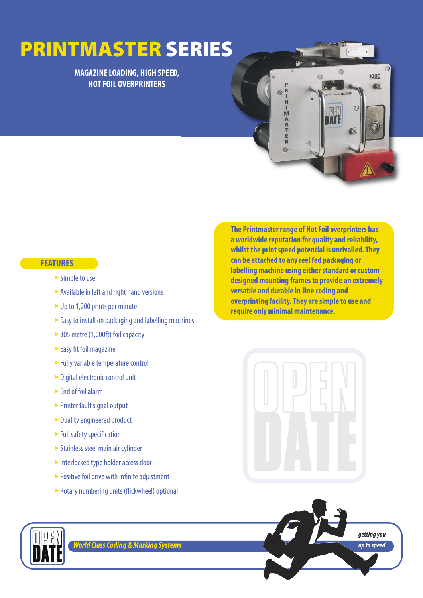# **PRINTMASTER SERIES**

**MAGAZINE LOADING, HIGH SPEED, HOT FOIL OVERPRINTERS**



### **FEATURES**

- $\triangleright$  Simple to use
- Available in left and right hand versions
- ▶ Up to 1,200 prints per minute
- Easy to install on packaging and labelling machines
- ► 305 metre (1,000ft) foil capacity
- $\triangleright$  Easy fit foil magazine
- ► Fully variable temperature control
- ► Digital electronic control unit
- ► End of foil alarm
- ► Printer fault signal output
- ► Quality engineered product
- ► Full safety specification
- ► Stainless steel main air cylinder
- Interlocked type holder access door
- ► Positive foil drive with infinite adjustment
- Rotary numbering units (flickwheel) optional ‣

**a worldwide reputation for quality and reliability, whilst the print speed potential is unrivalled. They can be attached to any reel fed packaging or labelling machine using either standard or custom designed mounting frames to provide an extremely versatile and durable in-line coding and overprinting facility. They are simple to use and require only minimal maintenance.** 

**The Printmaster range of Hot Foil overprinters has**







*World Class Coding & Marking Systems*